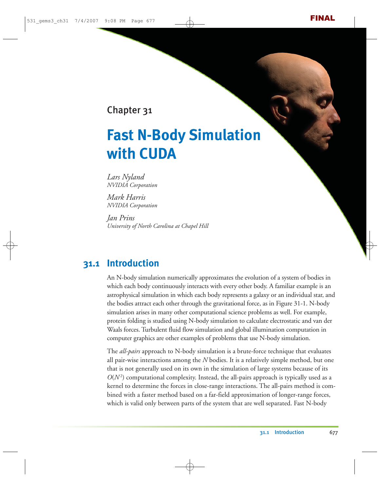Chapter 31

# **Fast N-Body Simulation with CUDA**

*Lars Nyland NVIDIA Corporation*

*Mark Harris NVIDIA Corporation*

*Jan Prins University of North Carolina at Chapel Hill*

# **31.1 Introduction**

An N-body simulation numerically approximates the evolution of a system of bodies in which each body continuously interacts with every other body. A familiar example is an astrophysical simulation in which each body represents a galaxy or an individual star, and the bodies attract each other through the gravitational force, as in Figure 31-1. N-body simulation arises in many other computational science problems as well. For example, protein folding is studied using N-body simulation to calculate electrostatic and van der Waals forces. Turbulent fluid flow simulation and global illumination computation in computer graphics are other examples of problems that use N-body simulation.

The *all-pairs* approach to N-body simulation is a brute-force technique that evaluates all pair-wise interactions among the *N* bodies. It is a relatively simple method, but one that is not generally used on its own in the simulation of large systems because of its  $O(N^2)$  computational complexity. Instead, the all-pairs approach is typically used as a kernel to determine the forces in close-range interactions. The all-pairs method is combined with a faster method based on a far-field approximation of longer-range forces, which is valid only between parts of the system that are well separated. Fast N-body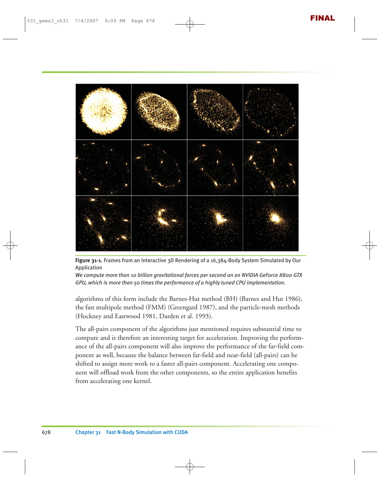

**Figure 31-1.** Frames from an Interactive 3D Rendering of a 16,384-Body System Simulated by Our Application

*We compute more than 10 billion gravitational forces per second on an NVIDIA GeForce 8800 GTX GPU, which is more than 50 times the performance of a highly tuned CPU implementation.*

algorithms of this form include the Barnes-Hut method (BH) (Barnes and Hut 1986), the fast multipole method (FMM) (Greengard 1987), and the particle-mesh methods (Hockney and Eastwood 1981, Darden et al. 1993).

The all-pairs component of the algorithms just mentioned requires substantial time to compute and is therefore an interesting target for acceleration. Improving the performance of the all-pairs component will also improve the performance of the far-field component as well, because the balance between far-field and near-field (all-pairs) can be shifted to assign more work to a faster all-pairs component. Accelerating one component will offload work from the other components, so the entire application benefits from accelerating one kernel.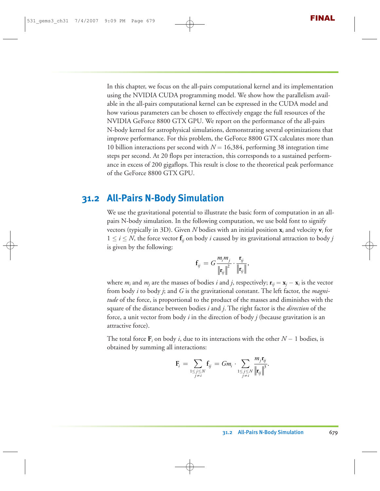In this chapter, we focus on the all-pairs computational kernel and its implementation using the NVIDIA CUDA programming model. We show how the parallelism available in the all-pairs computational kernel can be expressed in the CUDA model and how various parameters can be chosen to effectively engage the full resources of the NVIDIA GeForce 8800 GTX GPU. We report on the performance of the all-pairs N-body kernel for astrophysical simulations, demonstrating several optimizations that improve performance. For this problem, the GeForce 8800 GTX calculates more than 10 billion interactions per second with *N* = 16,384, performing 38 integration time steps per second. At 20 flops per interaction, this corresponds to a sustained performance in excess of 200 gigaflops. This result is close to the theoretical peak performance of the GeForce 8800 GTX GPU.

#### **31.2 All-Pairs N-Body Simulation**

We use the gravitational potential to illustrate the basic form of computation in an allpairs N-body simulation. In the following computation, we use bold font to signify vectors (typically in 3D). Given *N* bodies with an initial position **x***<sup>i</sup>* and velocity **v***<sup>i</sup>* for  $1 \leq i \leq N$ , the force vector  $f_{ij}$  on body *i* caused by its gravitational attraction to body *j* is given by the following:

$$
\mathbf{f}_{ij} = G \frac{m_i m_j}{\left\| \mathbf{r}_{ij} \right\|^2} \cdot \frac{\mathbf{r}_{ij}}{\left\| \mathbf{r}_{ij} \right\|},
$$

where  $m_i$  and  $m_j$  are the masses of bodies *i* and *j*, respectively;  $\mathbf{r}_{ii} = \mathbf{x}_i - \mathbf{x}_i$  is the vector from body *i* to body *j*; and *G* is the gravitational constant. The left factor, the *magnitude* of the force, is proportional to the product of the masses and diminishes with the square of the distance between bodies *i* and *j*. The right factor is the *direction* of the force, a unit vector from body *i* in the direction of body *j* (because gravitation is an attractive force).

The total force  $\mathbf{F}_i$  on body *i*, due to its interactions with the other  $N-1$  bodies, is obtained by summing all interactions:

$$
\mathbf{F}_i = \sum_{\substack{1 \leq j \leq N \\ j \neq i}} \mathbf{f}_{ij} = Gm_i \cdot \sum_{\substack{1 \leq j \leq N \\ j \neq i}} \frac{m_j \mathbf{r}_{ij}}{\|\mathbf{r}_{ij}\|^3}.
$$

**r**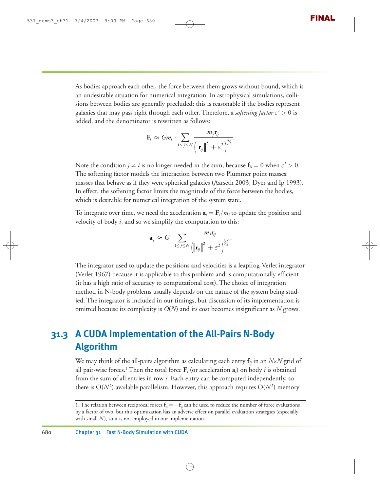As bodies approach each other, the force between them grows without bound, which is an undesirable situation for numerical integration. In astrophysical simulations, collisions between bodies are generally precluded; this is reasonable if the bodies represent galaxies that may pass right through each other. Therefore, a *softening factor*  $\varepsilon^2 > 0$  is added, and the denominator is rewritten as follows:

$$
\mathbf{F}_i \approx Gm_i \cdot \sum_{1 \leq j \leq N} \frac{m_j \mathbf{r}_{ij}}{\left(\left\|\mathbf{r}_{ij}\right\|^2 + \varepsilon^2\right)^{3/2}}.
$$

Note the condition  $j \neq i$  is no longer needed in the sum, because  $f_{ii} = 0$  when  $\varepsilon^2 > 0$ . The softening factor models the interaction between two Plummer point masses: masses that behave as if they were spherical galaxies (Aarseth 2003, Dyer and Ip 1993). In effect, the softening factor limits the magnitude of the force between the bodies, which is desirable for numerical integration of the system state.

To integrate over time, we need the acceleration  $\mathbf{a}_i = \mathbf{F}_i/m_i$  to update the position and velocity of body *i*, and so we simplify the computation to this:

$$
\mathbf{a}_{i} \approx G \cdot \sum_{1 \leq j \leq N} \frac{m_{j} \mathbf{r}_{ij}}{\left(\left\|\mathbf{r}_{ij}\right\|^{2} + \varepsilon^{2}\right)^{3/2}}.
$$

The integrator used to update the positions and velocities is a leapfrog-Verlet integrator (Verlet 1967) because it is applicable to this problem and is computationally efficient (it has a high ratio of accuracy to computational cost). The choice of integration method in N-body problems usually depends on the nature of the system being studied. The integrator is included in our timings, but discussion of its implementation is omitted because its complexity is *O*(*N*) and its cost becomes insignificant as *N* grows.

# **31.3 A CUDA Implementation of the All-Pairs N-Body Algorithm**

We may think of the all-pairs algorithm as calculating each entry  $f_{ij}$  in an  $N \times N$  grid of all pair-wise forces.<sup>1</sup> Then the total force  $\mathbf{F}_i$  (or acceleration  $\mathbf{a}_i$ ) on body *i* is obtained from the sum of all entries in row *i*. Each entry can be computed independently, so there is  $\mathrm{O}(N^2)$  available parallelism. However, this approach requires  $\mathrm{O}(N^2)$  memory

<sup>1.</sup> The relation between reciprocal forces  $\mathbf{f}_{ji} = -\mathbf{f}_{ij}$  can be used to reduce the number of force evaluations by a factor of two, but this optimization has an adverse effect on parallel evaluation strategies (especially with small *N*), so it is not employed in our implementation.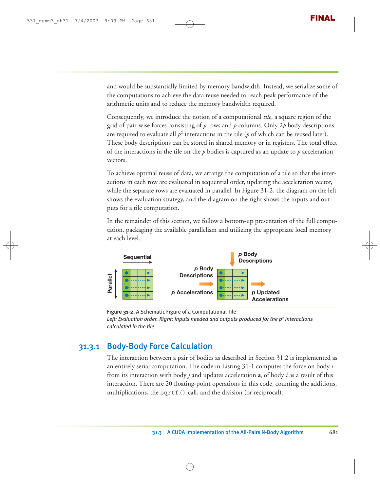and would be substantially limited by memory bandwidth. Instead, we serialize some of the computations to achieve the data reuse needed to reach peak performance of the arithmetic units and to reduce the memory bandwidth required.

Consequently, we introduce the notion of a computational *tile*, a square region of the grid of pair-wise forces consisting of *p* rows and *p* columns. Only 2*p* body descriptions are required to evaluate all  $p^2$  interactions in the tile ( $p$  of which can be reused later). These body descriptions can be stored in shared memory or in registers. The total effect of the interactions in the tile on the *p* bodies is captured as an update to *p* acceleration vectors.

To achieve optimal reuse of data, we arrange the computation of a tile so that the interactions in each row are evaluated in sequential order, updating the acceleration vector, while the separate rows are evaluated in parallel. In Figure 31-2, the diagram on the left shows the evaluation strategy, and the diagram on the right shows the inputs and outputs for a tile computation.

In the remainder of this section, we follow a bottom-up presentation of the full computation, packaging the available parallelism and utilizing the appropriate local memory at each level.



**Figure 31-2.** A Schematic Figure of a Computational Tile Left: Evaluation order. Right: Inputs needed and outputs produced for the p<sup>2</sup> interactions *calculated in the tile.*

#### 31.3.1 Body-Body Force Calculation

The interaction between a pair of bodies as described in Section 31.2 is implemented as an entirely serial computation. The code in Listing 31-1 computes the force on body *i* from its interaction with body *j* and updates acceleration **a***<sup>i</sup>* of body *i* as a result of this interaction. There are 20 floating-point operations in this code, counting the additions, multiplications, the sqrtf $()$  call, and the division (or reciprocal).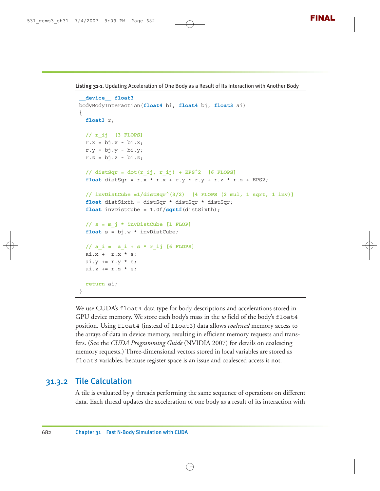**Listing 31-1.** Updating Acceleration of One Body as a Result of Its Interaction with Another Body

```
__device__ float3
bodyBodyInteraction(float4 bi, float4 bj, float3 ai)
{
  float3 r;
 // r_ij [3 FLOPS]
 r.x = bj.x - bi.x;r.y = bj.y - bi.y;r.z = bj.z - bi.z;// distSqr = dot(r_ij, r_ij) + EPS^2 [6 FLOPS]
  float distSqr = r.x * r.x + r.y * r.y + r.z * r.z + EPS2;// invDistCube =1/distSqr^(3/2) [4 FLOPS (2 mul, 1 sqrt, 1 inv)]
  float distSixth = distSqr * distSqr * distSqr;
  float invDistCube = 1.0f/sqrtf(distSixth);
  // s = m_j * invDistCube [1 FLOP]
  float s = bj.w * invDistCube;
 // a_i = a_i + s * r_ij [6 FLOPS]
 ai.x \leftarrow r.x * s;
 ai.y += r.y * s;ai.z += r.z * s;return ai;
}
```
We use CUDA's float4 data type for body descriptions and accelerations stored in GPU device memory. We store each body's mass in the *w* field of the body's float4 position. Using float4 (instead of float3) data allows *coalesced* memory access to the arrays of data in device memory, resulting in efficient memory requests and transfers. (See the *CUDA Programming Guide* (NVIDIA 2007) for details on coalescing memory requests.) Three-dimensional vectors stored in local variables are stored as float3 variables, because register space is an issue and coalesced access is not.

#### 31.3.2 Tile Calculation

A tile is evaluated by *p* threads performing the same sequence of operations on different data. Each thread updates the acceleration of one body as a result of its interaction with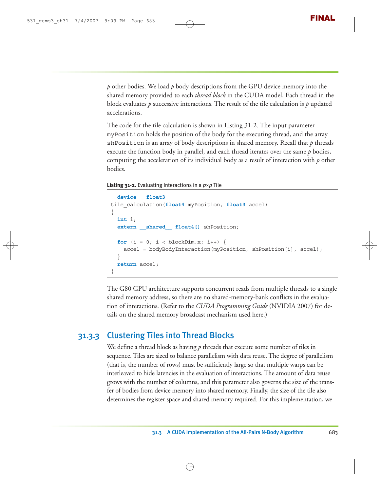*p* other bodies. We load *p* body descriptions from the GPU device memory into the shared memory provided to each *thread block* in the CUDA model. Each thread in the block evaluates *p* successive interactions. The result of the tile calculation is *p* updated accelerations.

The code for the tile calculation is shown in Listing 31-2. The input parameter myPosition holds the position of the body for the executing thread, and the array shPosition is an array of body descriptions in shared memory. Recall that  $p$  threads execute the function body in parallel, and each thread iterates over the same *p* bodies, computing the acceleration of its individual body as a result of interaction with *p* other bodies.

**Listing 31-2.** Evaluating Interactions in a *p*×*p* Tile

```
__device__ float3
tile_calculation(float4 myPosition, float3 accel)
{
  int i;
  extern shared float4[] shPosition;
  for (i = 0; i < blockDim.x; i++) {
    accel = bodyBodyInteraction(myPosition, shPosition[i], accel); 
  }
  return accel;
}
```
The G80 GPU architecture supports concurrent reads from multiple threads to a single shared memory address, so there are no shared-memory-bank conflicts in the evaluation of interactions. (Refer to the *CUDA Programming Guide* (NVIDIA 2007) for details on the shared memory broadcast mechanism used here.)

#### 31.3.3 Clustering Tiles into Thread Blocks

We define a thread block as having p threads that execute some number of tiles in sequence. Tiles are sized to balance parallelism with data reuse. The degree of parallelism (that is, the number of rows) must be sufficiently large so that multiple warps can be interleaved to hide latencies in the evaluation of interactions. The amount of data reuse grows with the number of columns, and this parameter also governs the size of the transfer of bodies from device memory into shared memory. Finally, the size of the tile also determines the register space and shared memory required. For this implementation, we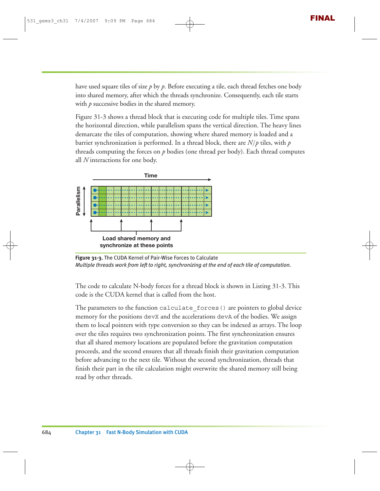have used square tiles of size  $p$  by  $p$ . Before executing a tile, each thread fetches one body into shared memory, after which the threads synchronize. Consequently, each tile starts with *p* successive bodies in the shared memory.

Figure 31-3 shows a thread block that is executing code for multiple tiles. Time spans the horizontal direction, while parallelism spans the vertical direction. The heavy lines demarcate the tiles of computation, showing where shared memory is loaded and a barrier synchronization is performed. In a thread block, there are *N*/*p* tiles, with *p* threads computing the forces on *p* bodies (one thread per body). Each thread computes all *N* interactions for one body.



**Figure 31-3.** The CUDA Kernel of Pair-Wise Forces to Calculate *Multiple threads work from left to right, synchronizing at the end of each tile of computation.*

The code to calculate N-body forces for a thread block is shown in Listing 31-3. This code is the CUDA kernel that is called from the host.

The parameters to the function calculate forces() are pointers to global device memory for the positions devX and the accelerations devA of the bodies. We assign them to local pointers with type conversion so they can be indexed as arrays. The loop over the tiles requires two synchronization points. The first synchronization ensures that all shared memory locations are populated before the gravitation computation proceeds, and the second ensures that all threads finish their gravitation computation before advancing to the next tile. Without the second synchronization, threads that finish their part in the tile calculation might overwrite the shared memory still being read by other threads.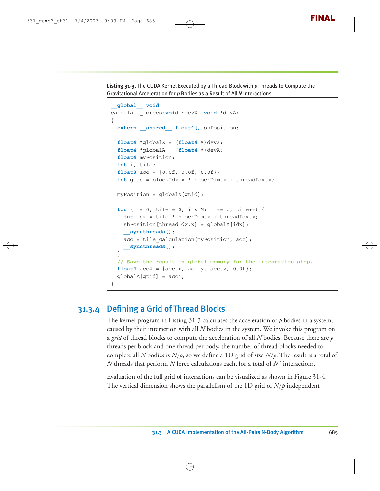**Listing 31-3.** The CUDA Kernel Executed by a Thread Block with *p* Threads to Compute the Gravitational Acceleration for *p* Bodies as a Result of All *N* Interactions

```
__global__ void
calculate_forces(void *devX, void *devA)
{
  extern shared float4[] shPosition;
  float4 *qlobalX = (float4 *)devX;float4 *globalA = (float4 *)devA;
  float4 myPosition;
  int i, tile;
  float3 acc = \{0.0f, 0.0f, 0.0f\};
  int gtid = blockIdx.x * blockDim.x + threadIdx.x;
  myPosition = globalX[gtid];
  for (i = 0, tile = 0; i < N; i + p, tile++) {
    int idx = tile * blockDim.x + threadIdx.x;
    shPosition[threadIdx.x] = globalX[idx];
    __syncthreads();
    acc = tile calculation(myPosition, acc);__syncthreads();
  }
  // Save the result in global memory for the integration step.
  float4 acc4 = \{acc.x, acc.y, acc.z, 0.0f\};qlobalA[qtid] = acc4;}
```
#### 31.3.4 Defining a Grid of Thread Blocks

The kernel program in Listing 31-3 calculates the acceleration of *p* bodies in a system, caused by their interaction with all *N* bodies in the system. We invoke this program on a *grid* of thread blocks to compute the acceleration of all *N* bodies. Because there are *p* threads per block and one thread per body, the number of thread blocks needed to complete all *N* bodies is  $N/p$ , so we define a 1D grid of size  $N/p$ . The result is a total of  $N$  threads that perform  $N$  force calculations each, for a total of  $N^2$  interactions.

Evaluation of the full grid of interactions can be visualized as shown in Figure 31-4. The vertical dimension shows the parallelism of the 1D grid of *N*/*p* independent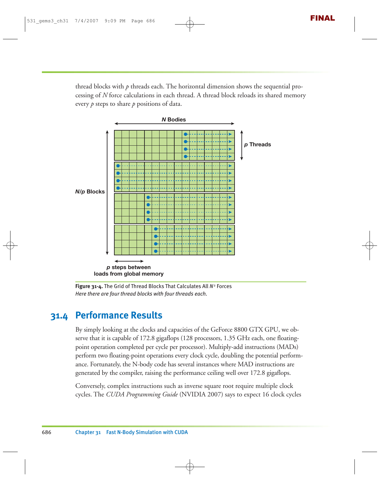thread blocks with *p* threads each. The horizontal dimension shows the sequential processing of *N* force calculations in each thread. A thread block reloads its shared memory every *p* steps to share *p* positions of data.



**Figure 31-4.** The Grid of Thread Blocks That Calculates All *N*<sup>2</sup> Forces *Here there are four thread blocks with four threads each.*

# **31.4 Performance Results**

By simply looking at the clocks and capacities of the GeForce 8800 GTX GPU, we observe that it is capable of 172.8 gigaflops (128 processors, 1.35 GHz each, one floatingpoint operation completed per cycle per processor). Multiply-add instructions (MADs) perform two floating-point operations every clock cycle, doubling the potential performance. Fortunately, the N-body code has several instances where MAD instructions are generated by the compiler, raising the performance ceiling well over 172.8 gigaflops.

Conversely, complex instructions such as inverse square root require multiple clock cycles. The *CUDA Programming Guide* (NVIDIA 2007) says to expect 16 clock cycles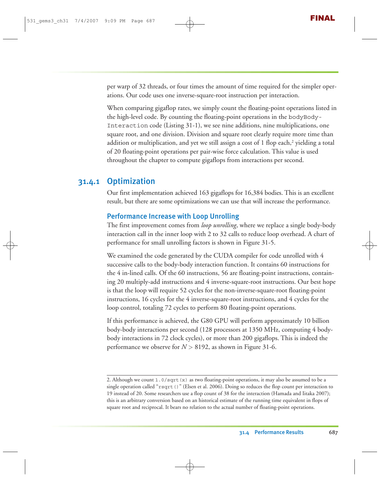per warp of 32 threads, or four times the amount of time required for the simpler operations. Our code uses one inverse-square-root instruction per interaction.

When comparing gigaflop rates, we simply count the floating-point operations listed in the high-level code. By counting the floating-point operations in the bodyBody-Interaction code (Listing 31-1), we see nine additions, nine multiplications, one square root, and one division. Division and square root clearly require more time than addition or multiplication, and yet we still assign a cost of 1 flop each,<sup>2</sup> yielding a total of 20 floating-point operations per pair-wise force calculation. This value is used throughout the chapter to compute gigaflops from interactions per second.

#### 31.4.1 Optimization

Our first implementation achieved 163 gigaflops for 16,384 bodies. This is an excellent result, but there are some optimizations we can use that will increase the performance.

#### Performance Increase with Loop Unrolling

The first improvement comes from *loop unrolling*, where we replace a single body-body interaction call in the inner loop with 2 to 32 calls to reduce loop overhead. A chart of performance for small unrolling factors is shown in Figure 31-5.

We examined the code generated by the CUDA compiler for code unrolled with 4 successive calls to the body-body interaction function. It contains 60 instructions for the 4 in-lined calls. Of the 60 instructions, 56 are floating-point instructions, containing 20 multiply-add instructions and 4 inverse-square-root instructions. Our best hope is that the loop will require 52 cycles for the non-inverse-square-root floating-point instructions, 16 cycles for the 4 inverse-square-root instructions, and 4 cycles for the loop control, totaling 72 cycles to perform 80 floating-point operations.

If this performance is achieved, the G80 GPU will perform approximately 10 billion body-body interactions per second (128 processors at 1350 MHz, computing 4 bodybody interactions in 72 clock cycles), or more than 200 gigaflops. This is indeed the performance we observe for  $N > 8192$ , as shown in Figure 31-6.

<sup>2.</sup> Although we count  $1.0$ /sqrt(x) as two floating-point operations, it may also be assumed to be a single operation called "rsqrt()" (Elsen et al. 2006). Doing so reduces the flop count per interaction to 19 instead of 20. Some researchers use a flop count of 38 for the interaction (Hamada and Iitaka 2007); this is an arbitrary conversion based on an historical estimate of the running time equivalent in flops of square root and reciprocal. It bears no relation to the actual number of floating-point operations.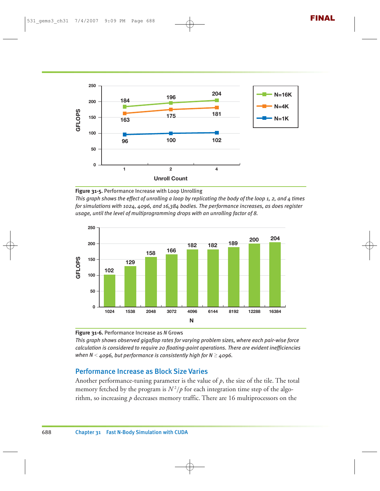

**Figure 31-5.** Performance Increase with Loop Unrolling

*This graph shows the effect of unrolling a loop by replicating the body of the loop 1, 2, and 4 times for simulations with 1024, 4096, and 16,384 bodies. The performance increases, as does register usage, until the level of multiprogramming drops with an unrolling factor of 8.*



**Figure 31-6.** Performance Increase as *N* Grows

*This graph shows observed gigaflop rates for varying problem sizes, where each pair-wise force calculation is considered to require 20 floating-point operations. There are evident inefficiencies when N* < *4096, but performance is consistently high for N* ≥ *4096.*

#### Performance Increase as Block Size Varies

Another performance-tuning parameter is the value of *p*, the size of the tile. The total memory fetched by the program is  $N^2/p$  for each integration time step of the algorithm, so increasing *p* decreases memory traffic. There are 16 multiprocessors on the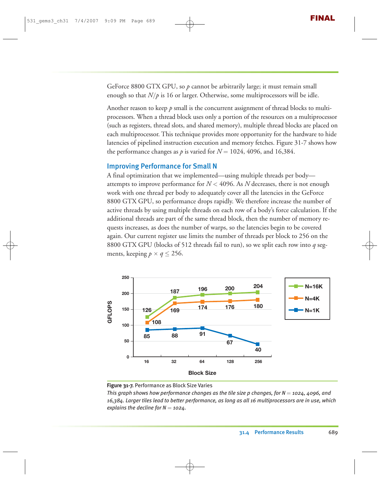GeForce 8800 GTX GPU, so  $p$  cannot be arbitrarily large; it must remain small enough so that  $N/p$  is 16 or larger. Otherwise, some multiprocessors will be idle.

Another reason to keep *p* small is the concurrent assignment of thread blocks to multiprocessors. When a thread block uses only a portion of the resources on a multiprocessor (such as registers, thread slots, and shared memory), multiple thread blocks are placed on each multiprocessor. This technique provides more opportunity for the hardware to hide latencies of pipelined instruction execution and memory fetches. Figure 31-7 shows how the performance changes as  $p$  is varied for  $N = 1024$ , 4096, and 16,384.

#### Improving Performance for Small N

A final optimization that we implemented—using multiple threads per body attempts to improve performance for  $N < 4096$ . As N decreases, there is not enough work with one thread per body to adequately cover all the latencies in the GeForce 8800 GTX GPU, so performance drops rapidly. We therefore increase the number of active threads by using multiple threads on each row of a body's force calculation. If the additional threads are part of the same thread block, then the number of memory requests increases, as does the number of warps, so the latencies begin to be covered again. Our current register use limits the number of threads per block to 256 on the 8800 GTX GPU (blocks of 512 threads fail to run), so we split each row into *q* segments, keeping  $p \times q \le 256$ .



**Figure 31-7.** Performance as Block Size Varies

*This graph shows how performance changes as the tile size p changes, for N = 1024, 4096, and 16,384. Larger tiles lead to better performance, as long as all 16 multiprocessors are in use, which explains the decline for N* = *1024.*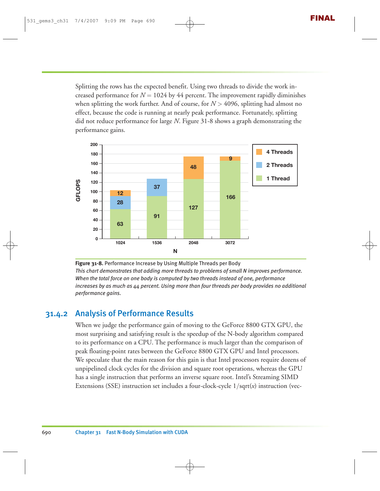Splitting the rows has the expected benefit. Using two threads to divide the work increased performance for  $N = 1024$  by 44 percent. The improvement rapidly diminishes when splitting the work further. And of course, for *N* > 4096, splitting had almost no effect, because the code is running at nearly peak performance. Fortunately, splitting did not reduce performance for large *N*. Figure 31-8 shows a graph demonstrating the performance gains.



**Figure 31-8.** Performance Increase by Using Multiple Threads per Body *This chart demonstrates that adding more threads to problems of small N improves performance. When the total force on one body is computed by two threads instead of one, performance increases by as much as 44 percent. Using more than four threads per body provides no additional performance gains.*

#### 31.4.2 Analysis of Performance Results

When we judge the performance gain of moving to the GeForce 8800 GTX GPU, the most surprising and satisfying result is the speedup of the N-body algorithm compared to its performance on a CPU. The performance is much larger than the comparison of peak floating-point rates between the GeForce 8800 GTX GPU and Intel processors. We speculate that the main reason for this gain is that Intel processors require dozens of unpipelined clock cycles for the division and square root operations, whereas the GPU has a single instruction that performs an inverse square root. Intel's Streaming SIMD Extensions (SSE) instruction set includes a four-clock-cycle 1/sqrt(*x*) instruction (vec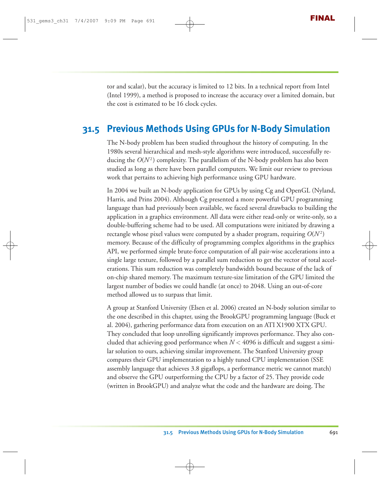tor and scalar), but the accuracy is limited to 12 bits. In a technical report from Intel (Intel 1999), a method is proposed to increase the accuracy over a limited domain, but the cost is estimated to be 16 clock cycles.

## **31.5 Previous Methods Using GPUs for N-Body Simulation**

The N-body problem has been studied throughout the history of computing. In the 1980s several hierarchical and mesh-style algorithms were introduced, successfully reducing the  $O(N^2)$  complexity. The parallelism of the N-body problem has also been studied as long as there have been parallel computers. We limit our review to previous work that pertains to achieving high performance using GPU hardware.

In 2004 we built an N-body application for GPUs by using Cg and OpenGL (Nyland, Harris, and Prins 2004). Although Cg presented a more powerful GPU programming language than had previously been available, we faced several drawbacks to building the application in a graphics environment. All data were either read-only or write-only, so a double-buffering scheme had to be used. All computations were initiated by drawing a rectangle whose pixel values were computed by a shader program, requiring  $O(N^2)$ memory. Because of the difficulty of programming complex algorithms in the graphics API, we performed simple brute-force computation of all pair-wise accelerations into a single large texture, followed by a parallel sum reduction to get the vector of total accelerations. This sum reduction was completely bandwidth bound because of the lack of on-chip shared memory. The maximum texture-size limitation of the GPU limited the largest number of bodies we could handle (at once) to 2048. Using an out-of-core method allowed us to surpass that limit.

A group at Stanford University (Elsen et al. 2006) created an N-body solution similar to the one described in this chapter, using the BrookGPU programming language (Buck et al. 2004), gathering performance data from execution on an ATI X1900 XTX GPU. They concluded that loop unrolling significantly improves performance. They also concluded that achieving good performance when  $N < 4096$  is difficult and suggest a similar solution to ours, achieving similar improvement. The Stanford University group compares their GPU implementation to a highly tuned CPU implementation (SSE assembly language that achieves 3.8 gigaflops, a performance metric we cannot match) and observe the GPU outperforming the CPU by a factor of 25. They provide code (written in BrookGPU) and analyze what the code and the hardware are doing. The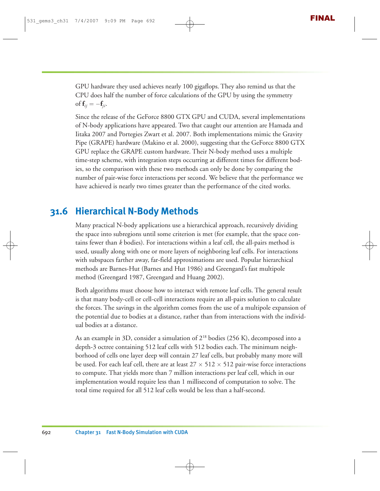GPU hardware they used achieves nearly 100 gigaflops. They also remind us that the CPU does half the number of force calculations of the GPU by using the symmetry of  $\mathbf{f}_{ii} = -\mathbf{f}_{ii}$ .

Since the release of the GeForce 8800 GTX GPU and CUDA, several implementations of N-body applications have appeared. Two that caught our attention are Hamada and Iitaka 2007 and Portegies Zwart et al. 2007. Both implementations mimic the Gravity Pipe (GRAPE) hardware (Makino et al. 2000), suggesting that the GeForce 8800 GTX GPU replace the GRAPE custom hardware. Their N-body method uses a multiple time-step scheme, with integration steps occurring at different times for different bodies, so the comparison with these two methods can only be done by comparing the number of pair-wise force interactions per second. We believe that the performance we have achieved is nearly two times greater than the performance of the cited works.

# **31.6 Hierarchical N-Body Methods**

Many practical N-body applications use a hierarchical approach, recursively dividing the space into subregions until some criterion is met (for example, that the space contains fewer than *k* bodies). For interactions within a leaf cell, the all-pairs method is used, usually along with one or more layers of neighboring leaf cells. For interactions with subspaces farther away, far-field approximations are used. Popular hierarchical methods are Barnes-Hut (Barnes and Hut 1986) and Greengard's fast multipole method (Greengard 1987, Greengard and Huang 2002).

Both algorithms must choose how to interact with remote leaf cells. The general result is that many body-cell or cell-cell interactions require an all-pairs solution to calculate the forces. The savings in the algorithm comes from the use of a multipole expansion of the potential due to bodies at a distance, rather than from interactions with the individual bodies at a distance.

As an example in 3D, consider a simulation of 218 bodies (256 K), decomposed into a depth-3 octree containing 512 leaf cells with 512 bodies each. The minimum neighborhood of cells one layer deep will contain 27 leaf cells, but probably many more will be used. For each leaf cell, there are at least  $27 \times 512 \times 512$  pair-wise force interactions to compute. That yields more than 7 million interactions per leaf cell, which in our implementation would require less than 1 millisecond of computation to solve. The total time required for all 512 leaf cells would be less than a half-second.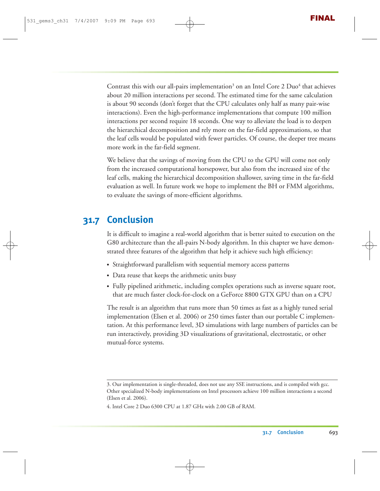Contrast this with our all-pairs implementation<sup>3</sup> on an Intel Core  $2$  Duo<sup>4</sup> that achieves about 20 million interactions per second. The estimated time for the same calculation is about 90 seconds (don't forget that the CPU calculates only half as many pair-wise interactions). Even the high-performance implementations that compute 100 million interactions per second require 18 seconds. One way to alleviate the load is to deepen the hierarchical decomposition and rely more on the far-field approximations, so that the leaf cells would be populated with fewer particles. Of course, the deeper tree means more work in the far-field segment.

We believe that the savings of moving from the CPU to the GPU will come not only from the increased computational horsepower, but also from the increased size of the leaf cells, making the hierarchical decomposition shallower, saving time in the far-field evaluation as well. In future work we hope to implement the BH or FMM algorithms, to evaluate the savings of more-efficient algorithms.

# **31.7 Conclusion**

It is difficult to imagine a real-world algorithm that is better suited to execution on the G80 architecture than the all-pairs N-body algorithm. In this chapter we have demonstrated three features of the algorithm that help it achieve such high efficiency:

- Straightforward parallelism with sequential memory access patterns
- Data reuse that keeps the arithmetic units busy
- Fully pipelined arithmetic, including complex operations such as inverse square root, that are much faster clock-for-clock on a GeForce 8800 GTX GPU than on a CPU

The result is an algorithm that runs more than 50 times as fast as a highly tuned serial implementation (Elsen et al. 2006) or 250 times faster than our portable C implementation. At this performance level, 3D simulations with large numbers of particles can be run interactively, providing 3D visualizations of gravitational, electrostatic, or other mutual-force systems.

<sup>3.</sup> Our implementation is single-threaded, does not use any SSE instructions, and is compiled with gcc. Other specialized N-body implementations on Intel processors achieve 100 million interactions a second (Elsen et al. 2006).

<sup>4.</sup> Intel Core 2 Duo 6300 CPU at 1.87 GHz with 2.00 GB of RAM.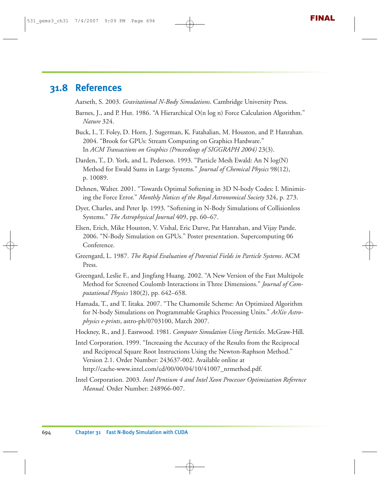# **31.8 References**

Aarseth, S. 2003. *Gravitational N-Body Simulations*. Cambridge University Press.

- Barnes, J., and P. Hut. 1986. "A Hierarchical O(n log n) Force Calculation Algorithm." *Nature* 324.
- Buck, I., T. Foley, D. Horn, J. Sugerman, K. Fatahalian, M. Houston, and P. Hanrahan. 2004. "Brook for GPUs: Stream Computing on Graphics Hardware." In *ACM Transactions on Graphics (Proceedings of SIGGRAPH 2004)* 23(3).
- Darden, T., D. York, and L. Pederson. 1993. "Particle Mesh Ewald: An N log(N) Method for Ewald Sums in Large Systems." *Journal of Chemical Physics* 98(12), p. 10089.
- Dehnen, Walter. 2001. "Towards Optimal Softening in 3D N-body Codes: I. Minimizing the Force Error." *Monthly Notices of the Royal Astronomical Society* 324, p. 273.
- Dyer, Charles, and Peter Ip. 1993. "Softening in N-Body Simulations of Collisionless Systems." *The Astrophysical Journal* 409, pp. 60–67.
- Elsen, Erich, Mike Houston, V. Vishal, Eric Darve, Pat Hanrahan, and Vijay Pande. 2006. "N-Body Simulation on GPUs." Poster presentation. Supercomputing 06 Conference.
- Greengard, L. 1987. *The Rapid Evaluation of Potential Fields in Particle Systems*. ACM Press.
- Greengard, Leslie F., and Jingfang Huang. 2002. "A New Version of the Fast Multipole Method for Screened Coulomb Interactions in Three Dimensions." *Journal of Computational Physics* 180(2), pp. 642–658.
- Hamada, T., and T. Iitaka. 2007. "The Chamomile Scheme: An Optimized Algorithm for N-body Simulations on Programmable Graphics Processing Units." *ArXiv Astrophysics e-prints*, astro-ph/0703100, March 2007.
- Hockney, R., and J. Eastwood. 1981. *Computer Simulation Using Particles*. McGraw-Hill.
- Intel Corporation. 1999. "Increasing the Accuracy of the Results from the Reciprocal and Reciprocal Square Root Instructions Using the Newton-Raphson Method." Version 2.1. Order Number: 243637-002. Available online at http://cache-www.intel.com/cd/00/00/04/10/41007\_nrmethod.pdf.
- Intel Corporation. 2003. *Intel Pentium 4 and Intel Xeon Processor Optimization Reference Manual.* Order Number: 248966-007.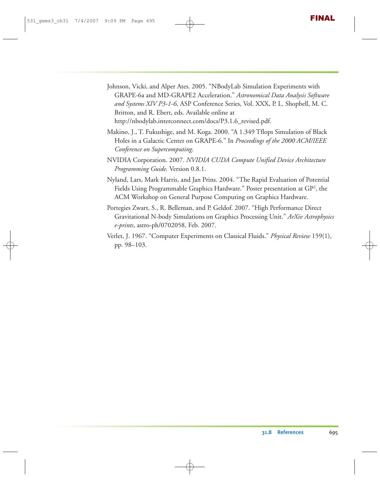- Johnson, Vicki, and Alper Ates. 2005. "NBodyLab Simulation Experiments with GRAPE-6a and MD-GRAPE2 Acceleration." *Astronomical Data Analysis Software and Systems XIV P3-1-6*, ASP Conference Series, Vol. XXX, P. L. Shopbell, M. C. Britton, and R. Ebert, eds. Available online at http://nbodylab.interconnect.com/docs/P3.1.6\_revised.pdf.
- Makino, J., T. Fukushige, and M. Koga. 2000. "A 1.349 Tflops Simulation of Black Holes in a Galactic Center on GRAPE-6." In *Proceedings of the 2000 ACM/IEEE Conference on Supercomputing*.
- NVIDIA Corporation. 2007. *NVIDIA CUDA Compute Unified Device Architecture Programming Guide.* Version 0.8.1.
- Nyland, Lars, Mark Harris, and Jan Prins. 2004. "The Rapid Evaluation of Potential Fields Using Programmable Graphics Hardware." Poster presentation at  $\mathrm{G} \mathrm{P}^2$ , the ACM Workshop on General Purpose Computing on Graphics Hardware.
- Portegies Zwart, S., R. Belleman, and P. Geldof. 2007. "High Performance Direct Gravitational N-body Simulations on Graphics Processing Unit." *ArXiv Astrophysics e-prints*, astro-ph/0702058, Feb. 2007.
- Verlet, J. 1967. "Computer Experiments on Classical Fluids." *Physical Review* 159(1), pp. 98–103.